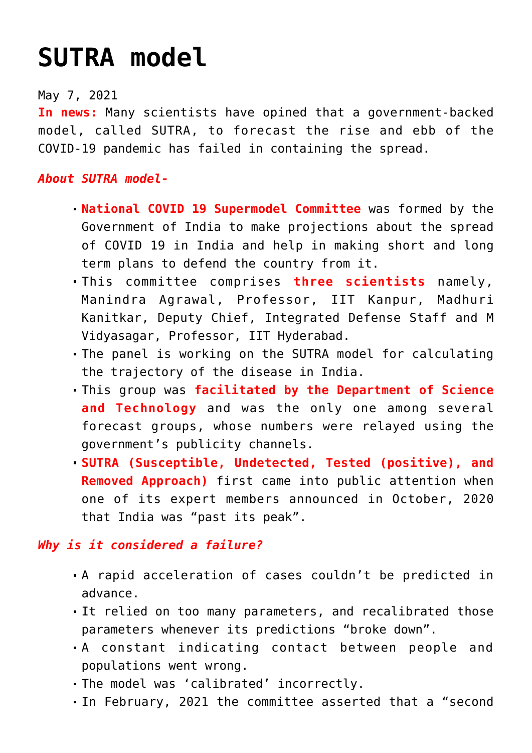## **[SUTRA model](https://journalsofindia.com/sutra-model/)**

## May 7, 2021

**In news:** Many scientists have opined that a government-backed model, called SUTRA, to forecast the rise and ebb of the COVID-19 pandemic has failed in containing the spread.

## *About SUTRA model-*

- **National COVID 19 Supermodel Committee** was formed by the Government of India to make projections about the spread of COVID 19 in India and help in making short and long term plans to defend the country from it.
- This committee comprises **three scientists** namely, Manindra Agrawal, Professor, IIT Kanpur, Madhuri Kanitkar, Deputy Chief, Integrated Defense Staff and M Vidyasagar, Professor, IIT Hyderabad.
- The panel is working on the SUTRA model for calculating the trajectory of the disease in India.
- This group was **facilitated by the Department of Science and Technology** and was the only one among several forecast groups, whose numbers were relayed using the government's publicity channels.
- **SUTRA (Susceptible, Undetected, Tested (positive), and Removed Approach)** first came into public attention when one of its expert members announced in October, 2020 that India was "past its peak".

## *Why is it considered a failure?*

- A rapid acceleration of cases couldn't be predicted in advance.
- It relied on too many parameters, and recalibrated those parameters whenever its predictions "broke down".
- A constant indicating contact between people and populations went wrong.
- The model was 'calibrated' incorrectly.
- In February, 2021 the committee asserted that a "second